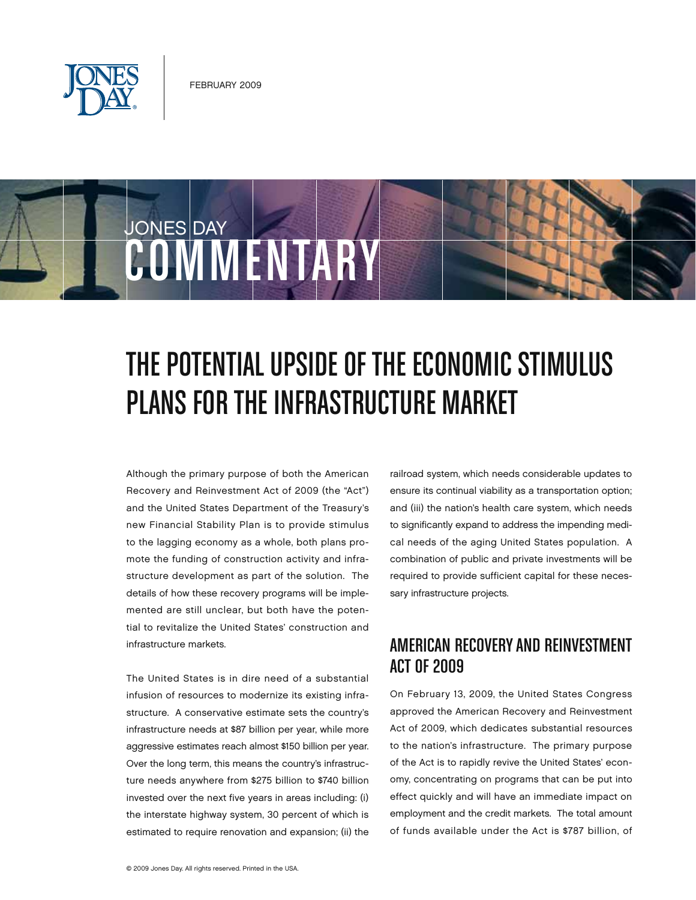

JONES DAY

# COMMENTARY

## THE POTENTIAL UPSIDE OF THE ECONOMIC STIMULUS PLANS FOR THE INFRASTRUCTURE MARKET

Although the primary purpose of both the American Recovery and Reinvestment Act of 2009 (the "Act") and the United States Department of the Treasury's new Financial Stability Plan is to provide stimulus to the lagging economy as a whole, both plans promote the funding of construction activity and infrastructure development as part of the solution. The details of how these recovery programs will be implemented are still unclear, but both have the potential to revitalize the United States' construction and infrastructure markets.

The United States is in dire need of a substantial infusion of resources to modernize its existing infrastructure. A conservative estimate sets the country's infrastructure needs at \$87 billion per year, while more aggressive estimates reach almost \$150 billion per year. Over the long term, this means the country's infrastructure needs anywhere from \$275 billion to \$740 billion invested over the next five years in areas including: (i) the interstate highway system, 30 percent of which is estimated to require renovation and expansion; (ii) the

railroad system, which needs considerable updates to ensure its continual viability as a transportation option; and (iii) the nation's health care system, which needs to significantly expand to address the impending medical needs of the aging United States population. A combination of public and private investments will be required to provide sufficient capital for these necessary infrastructure projects.

#### American Recoveryand Reinvestment Act of 2009

On February 13, 2009, the United States Congress approved the American Recovery and Reinvestment Act of 2009, which dedicates substantial resources to the nation's infrastructure. The primary purpose of the Act is to rapidly revive the United States' economy, concentrating on programs that can be put into effect quickly and will have an immediate impact on employment and the credit markets. The total amount of funds available under the Act is \$787 billion, of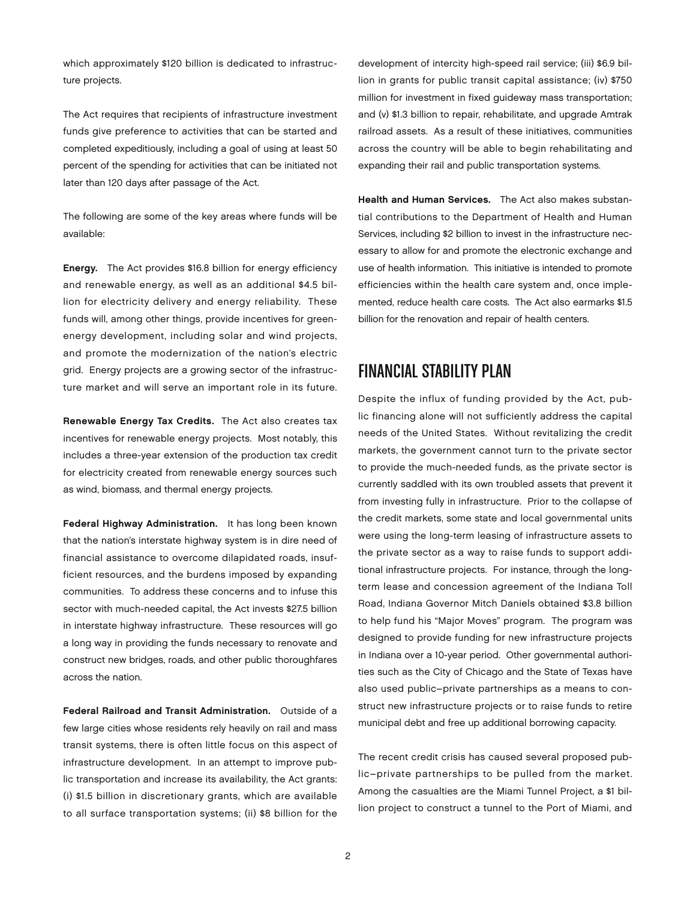which approximately \$120 billion is dedicated to infrastructure projects.

The Act requires that recipients of infrastructure investment funds give preference to activities that can be started and completed expeditiously, including a goal of using at least 50 percent of the spending for activities that can be initiated not later than 120 days after passage of the Act.

The following are some of the key areas where funds will be available:

Energy. The Act provides \$16.8 billion for energy efficiency and renewable energy, as well as an additional \$4.5 billion for electricity delivery and energy reliability. These funds will, among other things, provide incentives for greenenergy development, including solar and wind projects, and promote the modernization of the nation's electric grid. Energy projects are a growing sector of the infrastructure market and will serve an important role in its future.

Renewable Energy Tax Credits. The Act also creates tax incentives for renewable energy projects. Most notably, this includes a three-year extension of the production tax credit for electricity created from renewable energy sources such as wind, biomass, and thermal energy projects.

Federal Highway Administration. It has long been known that the nation's interstate highway system is in dire need of financial assistance to overcome dilapidated roads, insufficient resources, and the burdens imposed by expanding communities. To address these concerns and to infuse this sector with much-needed capital, the Act invests \$27.5 billion in interstate highway infrastructure. These resources will go a long way in providing the funds necessary to renovate and construct new bridges, roads, and other public thoroughfares across the nation.

Federal Railroad and Transit Administration. Outside of a few large cities whose residents rely heavily on rail and mass transit systems, there is often little focus on this aspect of infrastructure development. In an attempt to improve public transportation and increase its availability, the Act grants: (i) \$1.5 billion in discretionary grants, which are available to all surface transportation systems; (ii) \$8 billion for the

development of intercity high-speed rail service; (iii) \$6.9 billion in grants for public transit capital assistance; (iv) \$750 million for investment in fixed guideway mass transportation; and (v) \$1.3 billion to repair, rehabilitate, and upgrade Amtrak railroad assets. As a result of these initiatives, communities across the country will be able to begin rehabilitating and expanding their rail and public transportation systems.

Health and Human Services. The Act also makes substantial contributions to the Department of Health and Human Services, including \$2 billion to invest in the infrastructure necessary to allow for and promote the electronic exchange and use of health information. This initiative is intended to promote efficiencies within the health care system and, once implemented, reduce health care costs. The Act also earmarks \$1.5 billion for the renovation and repair of health centers.

#### Financial Stability Plan

Despite the influx of funding provided by the Act, public financing alone will not sufficiently address the capital needs of the United States. Without revitalizing the credit markets, the government cannot turn to the private sector to provide the much-needed funds, as the private sector is currently saddled with its own troubled assets that prevent it from investing fully in infrastructure. Prior to the collapse of the credit markets, some state and local governmental units were using the long-term leasing of infrastructure assets to the private sector as a way to raise funds to support additional infrastructure projects. For instance, through the longterm lease and concession agreement of the Indiana Toll Road, Indiana Governor Mitch Daniels obtained \$3.8 billion to help fund his "Major Moves" program. The program was designed to provide funding for new infrastructure projects in Indiana over a 10-year period. Other governmental authorities such as the City of Chicago and the State of Texas have also used public–private partnerships as a means to construct new infrastructure projects or to raise funds to retire municipal debt and free up additional borrowing capacity.

The recent credit crisis has caused several proposed public–private partnerships to be pulled from the market. Among the casualties are the Miami Tunnel Project, a \$1 billion project to construct a tunnel to the Port of Miami, and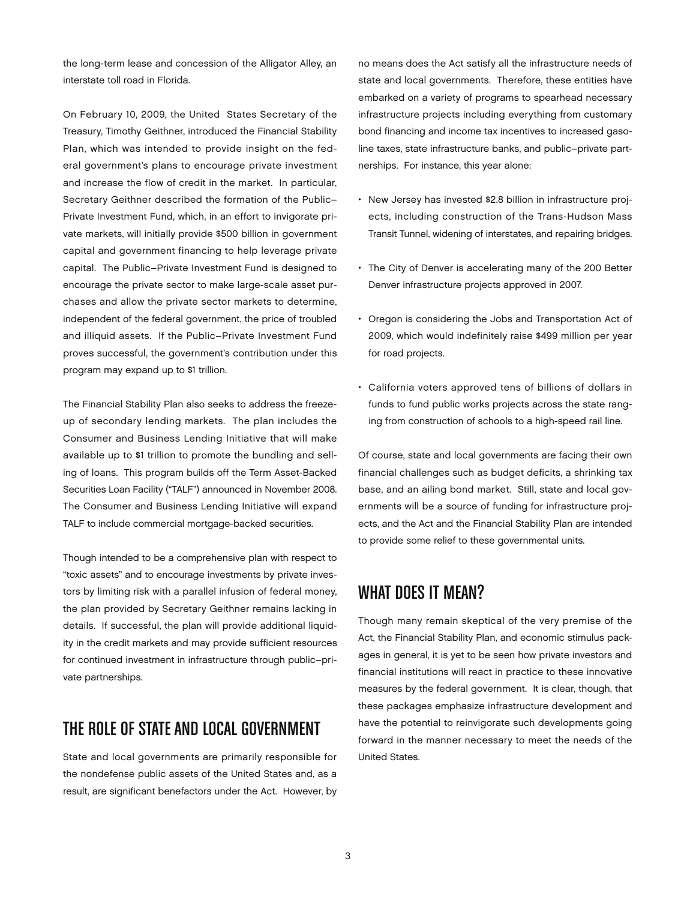the long-term lease and concession of the Alligator Alley, an interstate toll road in Florida.

On February 10, 2009, the United States Secretary of the Treasury, Timothy Geithner, introduced the Financial Stability Plan, which was intended to provide insight on the federal government's plans to encourage private investment and increase the flow of credit in the market. In particular, Secretary Geithner described the formation of the Public– Private Investment Fund, which, in an effort to invigorate private markets, will initially provide \$500 billion in government capital and government financing to help leverage private capital. The Public–Private Investment Fund is designed to encourage the private sector to make large-scale asset purchases and allow the private sector markets to determine, independent of the federal government, the price of troubled and illiquid assets. If the Public–Private Investment Fund proves successful, the government's contribution under this program may expand up to \$1 trillion.

The Financial Stability Plan also seeks to address the freezeup of secondary lending markets. The plan includes the Consumer and Business Lending Initiative that will make available up to \$1 trillion to promote the bundling and selling of loans. This program builds off the Term Asset-Backed Securities Loan Facility ("TALF") announced in November 2008. The Consumer and Business Lending Initiative will expand TALF to include commercial mortgage-backed securities.

Though intended to be a comprehensive plan with respect to "toxic assets" and to encourage investments by private investors by limiting risk with a parallel infusion of federal money, the plan provided by Secretary Geithner remains lacking in details. If successful, the plan will provide additional liquidity in the credit markets and may provide sufficient resources for continued investment in infrastructure through public–private partnerships.

### The Role of State and Local Government

State and local governments are primarily responsible for the nondefense public assets of the United States and, as a result, are significant benefactors under the Act. However, by no means does the Act satisfy all the infrastructure needs of state and local governments. Therefore, these entities have embarked on a variety of programs to spearhead necessary infrastructure projects including everything from customary bond financing and income tax incentives to increased gasoline taxes, state infrastructure banks, and public–private partnerships. For instance, this year alone:

- • New Jersey has invested \$2.8 billion in infrastructure projects, including construction of the Trans-Hudson Mass Transit Tunnel, widening of interstates, and repairing bridges.
- The City of Denver is accelerating many of the 200 Better Denver infrastructure projects approved in 2007.
- Oregon is considering the Jobs and Transportation Act of 2009, which would indefinitely raise \$499 million per year for road projects.
- • California voters approved tens of billions of dollars in funds to fund public works projects across the state ranging from construction of schools to a high-speed rail line.

Of course, state and local governments are facing their own financial challenges such as budget deficits, a shrinking tax base, and an ailing bond market. Still, state and local governments will be a source of funding for infrastructure projects, and the Act and the Financial Stability Plan are intended to provide some relief to these governmental units.

#### WHAT DOES IT MEAN?

Though many remain skeptical of the very premise of the Act, the Financial Stability Plan, and economic stimulus packages in general, it is yet to be seen how private investors and financial institutions will react in practice to these innovative measures by the federal government. It is clear, though, that these packages emphasize infrastructure development and have the potential to reinvigorate such developments going forward in the manner necessary to meet the needs of the United States.